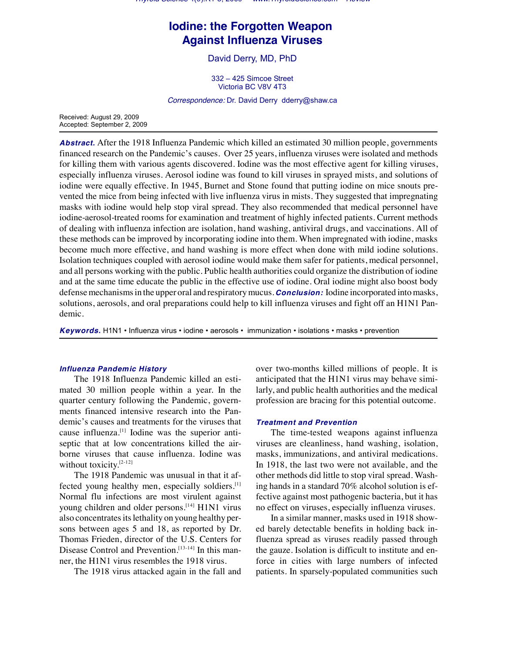*Thyroid Science* 4(9):R1-5, 2009 www.ThyroidScience.com *Review*

# **Iodine: the Forgotten Weapon Against Influenza Viruses**

David Derry, MD, PhD

332 – 425 Simcoe Street Victoria BC V8V 4T3

*Correspondence:* Dr. David Derry dderry@shaw.ca

Received: August 29, 2009 Accepted: September 2, 2009

*Abstract.* After the 1918 Influenza Pandemic which killed an estimated 30 million people, governments financed research on the Pandemic's causes. Over 25 years, influenza viruses were isolated and methods for killing them with various agents discovered. Iodine was the most effective agent for killing viruses, especially influenza viruses. Aerosol iodine was found to kill viruses in sprayed mists, and solutions of iodine were equally effective. In 1945, Burnet and Stone found that putting iodine on mice snouts prevented the mice from being infected with live influenza virus in mists. They suggested that impregnating masks with iodine would help stop viral spread. They also recommended that medical personnel have iodine-aerosol-treated rooms for examination and treatment of highly infected patients. Current methods of dealing with influenza infection are isolation, hand washing, antiviral drugs, and vaccinations. All of these methods can be improved by incorporating iodine into them. When impregnated with iodine, masks become much more effective, and hand washing is more effect when done with mild iodine solutions. Isolation techniques coupled with aerosol iodine would make them safer for patients, medical personnel, and all persons working with the public. Public health authorities could organize the distribution of iodine and at the same time educate the public in the effective use of iodine. Oral iodine might also boost body defense mechanisms in the upper oral and respiratory mucus. *Conclusion:* Iodine incorporated into masks, solutions, aerosols, and oral preparations could help to kill influenza viruses and fight off an H1N1 Pandemic.

*Keywords.* H1N1 • Influenza virus • iodine • aerosols • immunization • isolations • masks • prevention

## *Influenza Pandemic History*

The 1918 Influenza Pandemic killed an estimated 30 million people within a year. In the quarter century following the Pandemic, governments financed intensive research into the Pandemic's causes and treatments for the viruses that cause influenza.<sup>[1]</sup> Iodine was the superior antiseptic that at low concentrations killed the airborne viruses that cause influenza. Iodine was without toxicity.<sup>[2-12]</sup>

The 1918 Pandemic was unusual in that it affected young healthy men, especially soldiers.<sup>[1]</sup> Normal flu infections are most virulent against young children and older persons. [14] H1N1 virus also concentrates its lethality on young healthy persons between ages 5 and 18, as reported by Dr. Thomas Frieden, director of the U.S. Centers for Disease Control and Prevention.<sup>[13-14]</sup> In this manner, the H1N1 virus resembles the 1918 virus.

The 1918 virus attacked again in the fall and

over two-months killed millions of people. It is anticipated that the H1N1 virus may behave similarly, and public health authorities and the medical profession are bracing for this potential outcome.

## *Treatment and Prevention*

 The time-tested weapons against influenza viruses are cleanliness, hand washing, isolation, masks, immunizations, and antiviral medications. In 1918, the last two were not available, and the other methods did little to stop viral spread. Washing hands in a standard 70% alcohol solution is effective against most pathogenic bacteria, but it has no effect on viruses, especially influenza viruses.

In a similar manner, masks used in 1918 showed barely detectable benefits in holding back influenza spread as viruses readily passed through the gauze. Isolation is difficult to institute and enforce in cities with large numbers of infected patients. In sparsely-populated communities such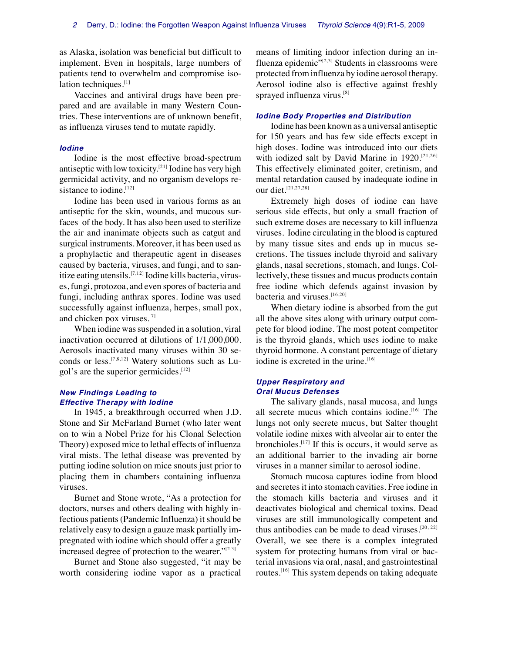as Alaska, isolation was beneficial but difficult to implement. Even in hospitals, large numbers of patients tend to overwhelm and compromise isolation techniques.<sup>[1]</sup>

Vaccines and antiviral drugs have been prepared and are available in many Western Countries. These interventions are of unknown benefit, as influenza viruses tend to mutate rapidly.

### *Iodine*

Iodine is the most effective broad-spectrum antiseptic with low toxicity.<sup>[21]</sup> Iodine has very high germicidal activity, and no organism develops resistance to iodine.<sup>[12]</sup>

Iodine has been used in various forms as an antiseptic for the skin, wounds, and mucous surfaces of the body. It has also been used to sterilize the air and inanimate objects such as catgut and surgical instruments. Moreover, it has been used as a prophylactic and therapeutic agent in diseases caused by bacteria, viruses, and fungi, and to sanitize eating utensils.  $[7,12]$  Iodine kills bacteria, viruses, fungi, protozoa, and even spores of bacteria and fungi, including anthrax spores. Iodine was used successfully against influenza, herpes, small pox, and chicken pox viruses.[7]

When iodine was suspended in a solution, viral inactivation occurred at dilutions of 1/1,000,000. Aerosols inactivated many viruses within 30 seconds or less.  $[7,8,12]$  Watery solutions such as Lugol's are the superior germicides.<sup>[12]</sup>

# *New Findings Leading to Effective Therapy with Iodine*

In 1945, a breakthrough occurred when J.D. Stone and Sir McFarland Burnet (who later went on to win a Nobel Prize for his Clonal Selection Theory) exposed mice to lethal effects of influenza viral mists. The lethal disease was prevented by putting iodine solution on mice snouts just prior to placing them in chambers containing influenza viruses.

Burnet and Stone wrote, "As a protection for doctors, nurses and others dealing with highly infectious patients (Pandemic Influenza) it should be relatively easy to design a gauze mask partially impregnated with iodine which should offer a greatly increased degree of protection to the wearer."<sup>[2,3]</sup>

Burnet and Stone also suggested, "it may be worth considering iodine vapor as a practical means of limiting indoor infection during an influenza epidemic $\frac{1}{2}$ [2,3] Students in classrooms were protected from influenza by iodine aerosol therapy. Aerosol iodine also is effective against freshly sprayed influenza virus.[8]

## *Iodine Body Properties and Distribution*

Iodine has been known as a universal antiseptic for 150 years and has few side effects except in high doses. Iodine was introduced into our diets with iodized salt by David Marine in 1920.<sup>[21,26]</sup> This effectively eliminated goiter, cretinism, and mental retardation caused by inadequate iodine in our diet.<sup>[21,27,28]</sup>

Extremely high doses of iodine can have serious side effects, but only a small fraction of such extreme doses are necessary to kill influenza viruses. Iodine circulating in the blood is captured by many tissue sites and ends up in mucus secretions. The tissues include thyroid and salivary glands, nasal secretions, stomach, and lungs. Collectively, these tissues and mucus products contain free iodine which defends against invasion by bacteria and viruses.<sup>[16,20]</sup>

When dietary iodine is absorbed from the gut all the above sites along with urinary output compete for blood iodine. The most potent competitor is the thyroid glands, which uses iodine to make thyroid hormone. A constant percentage of dietary iodine is excreted in the urine.<sup>[16]</sup>

# *Upper Respiratory and Oral Mucus Defenses*

The salivary glands, nasal mucosa, and lungs all secrete mucus which contains iodine.<sup>[16]</sup> The lungs not only secrete mucus, but Salter thought volatile iodine mixes with alveolar air to enter the bronchioles. $[17]$  If this is occurs, it would serve as an additional barrier to the invading air borne viruses in a manner similar to aerosol iodine.

Stomach mucosa captures iodine from blood and secretes it into stomach cavities. Free iodine in the stomach kills bacteria and viruses and it deactivates biological and chemical toxins. Dead viruses are still immunologically competent and thus antibodies can be made to dead viruses.<sup>[20, 22]</sup> Overall, we see there is a complex integrated system for protecting humans from viral or bacterial invasions via oral, nasal, and gastrointestinal routes.  $[16]$  This system depends on taking adequate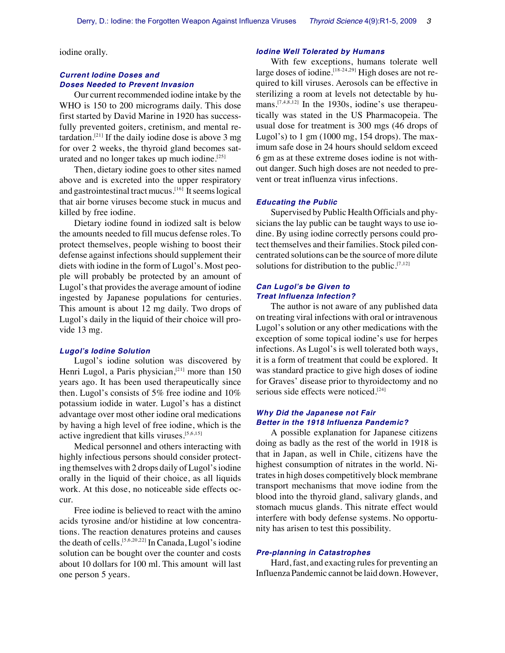iodine orally.

## *Current Iodine Doses and Doses Needed to Prevent Invasion*

Our current recommended iodine intake by the WHO is 150 to 200 micrograms daily. This dose first started by David Marine in 1920 has successfully prevented goiters, cretinism, and mental retardation.<sup>[21]</sup> If the daily iodine dose is above 3 mg for over 2 weeks, the thyroid gland becomes saturated and no longer takes up much iodine.<sup>[25]</sup>

Then, dietary iodine goes to other sites named above and is excreted into the upper respiratory and gastrointestinal tract mucus. [16] It seems logical that air borne viruses become stuck in mucus and killed by free iodine.

Dietary iodine found in iodized salt is below the amounts needed to fill mucus defense roles. To protect themselves, people wishing to boost their defense against infections should supplement their diets with iodine in the form of Lugol's. Most people will probably be protected by an amount of Lugol's that provides the average amount of iodine ingested by Japanese populations for centuries. This amount is about 12 mg daily. Two drops of Lugol's daily in the liquid of their choice will provide 13 mg.

#### *Lugol's Iodine Solution*

Lugol's iodine solution was discovered by Henri Lugol, a Paris physician, $[21]$  more than 150 years ago. It has been used therapeutically since then. Lugol's consists of 5% free iodine and 10% potassium iodide in water. Lugol's has a distinct advantage over most other iodine oral medications by having a high level of free iodine, which is the active ingredient that kills viruses.  $[5,6,15]$ 

Medical personnel and others interacting with highly infectious persons should consider protecting themselves with 2 drops daily of Lugol's iodine orally in the liquid of their choice, as all liquids work. At this dose, no noticeable side effects occur.

Free iodine is believed to react with the amino acids tyrosine and/or histidine at low concentrations. The reaction denatures proteins and causes the death of cells.  $[5,6,20,22]$  In Canada, Lugol's iodine solution can be bought over the counter and costs about 10 dollars for 100 ml. This amount will last one person 5 years.

## *Iodine Well Tolerated by Humans*

With few exceptions, humans tolerate well large doses of iodine.  $[18-24,29]$  High doses are not required to kill viruses. Aerosols can be effective in sterilizing a room at levels not detectable by humans.  $[7,4,8,12]$  In the 1930s, iodine's use therapeutically was stated in the US Pharmacopeia. The usual dose for treatment is 300 mgs (46 drops of Lugol's) to 1 gm (1000 mg, 154 drops). The maximum safe dose in 24 hours should seldom exceed 6 gm as at these extreme doses iodine is not without danger. Such high doses are not needed to prevent or treat influenza virus infections.

#### *Educating the Public*

Supervised by Public Health Officials and physicians the lay public can be taught ways to use iodine. By using iodine correctly persons could protect themselves and their families. Stock piled concentrated solutions can be the source of more dilute solutions for distribution to the public.<sup>[7,12]</sup>

#### *Can Lugol's be Given to Treat Influenza Infection?*

The author is not aware of any published data on treating viral infections with oral or intravenous Lugol's solution or any other medications with the exception of some topical iodine's use for herpes infections. As Lugol's is well tolerated both ways, it is a form of treatment that could be explored. It was standard practice to give high doses of iodine for Graves' disease prior to thyroidectomy and no serious side effects were noticed.<sup>[24]</sup>

## *Why Did the Japanese not Fair Better in the 1918 Influenza Pandemic?*

A possible explanation for Japanese citizens doing as badly as the rest of the world in 1918 is that in Japan, as well in Chile, citizens have the highest consumption of nitrates in the world. Nitrates in high doses competitively block membrane transport mechanisms that move iodine from the blood into the thyroid gland, salivary glands, and stomach mucus glands. This nitrate effect would interfere with body defense systems. No opportunity has arisen to test this possibility.

#### *Pre-planning in Catastrophes*

Hard, fast, and exacting rules for preventing an Influenza Pandemic cannot be laid down. However,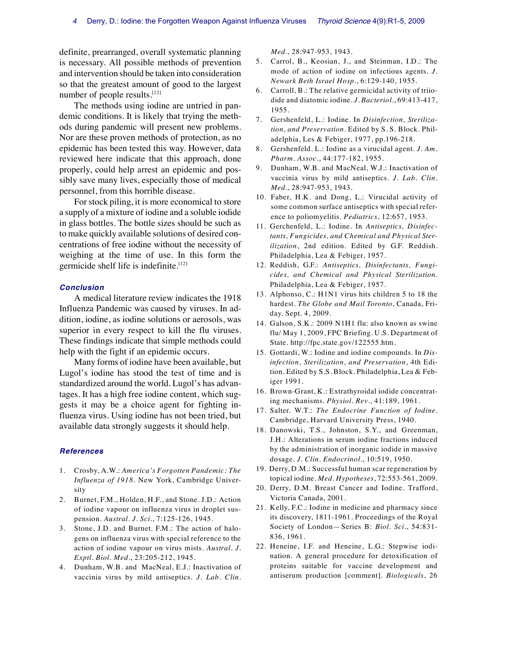definite, prearranged, overall systematic planning is necessary. All possible methods of prevention and intervention should be taken into consideration so that the greatest amount of good to the largest number of people results. [12]

The methods using iodine are untried in pandemic conditions. It is likely that trying the methods during pandemic will present new problems. Nor are these proven methods of protection, as no epidemic has been tested this way. However, data reviewed here indicate that this approach, done properly, could help arrest an epidemic and possibly save many lives, especially those of medical personnel, from this horrible disease.

For stock piling, it is more economical to store a supply of a mixture of iodine and a soluble iodide in glass bottles. The bottle sizes should be such as to make quickly available solutions of desired concentrations of free iodine without the necessity of weighing at the time of use. In this form the germicide shelf life is indefinite.[12]

#### *Conclusion*

A medical literature review indicates the 1918 Influenza Pandemic was caused by viruses. In addition, iodine, as iodine solutions or aerosols, was superior in every respect to kill the flu viruses. These findings indicate that simple methods could help with the fight if an epidemic occurs.

Many forms of iodine have been available, but Lugol's iodine has stood the test of time and is standardized around the world. Lugol's has advantages. It has a high free iodine content, which suggests it may be a choice agent for fighting influenza virus. Using iodine has not been tried, but available data strongly suggests it should help.

#### *References*

- 1. Crosby, A.W.: *America's Forgotten Pandemic: The Influenza of 1918.* New York, Cambridge University
- 2. Burnet, F.M., Holden, H.F., and Stone. J.D.: Action of iodine vapour on influenza virus in droplet suspension. *Austral. J. Sci*., 7:125-126, 1945.
- 3. Stone, J.D. and Burnet. F.M.: The action of halogens on influenza virus with special reference to the action of iodine vapour on virus mists. *Austral. J. Exptl. Biol. Med*., 23:205-212, 1945.
- 4. Dunham, W.B. and MacNeal, E.J.: Inactivation of vaccinia virus by mild antiseptics. *J. Lab. Clin.*

*Med*., 28:947-953, 1943.

- 5. Carrol, B., Keosian, J., and Steinman, I.D.: The mode of action of iodine on infectious agents. *J. Newark Beth Israel Hosp*., 6:129-140, 1955.
- 6. Carroll, B.: The relative germicidal activity of triiodide and diatomic iodine. *J. Bacteriol*., 69:413-417, 1955.
- 7. Gershenfeld, L.: Iodine. In *Disinfection, Sterilization, and Preservation*. Edited by S. S. Block. Philadelphia, Les & Febiger, 1977, pp.196-218.
- 8. Gershenfeld. L.: Iodine as a virucidal agent. *J. Am. Pharm. Assoc*., 44:177-182, 1955.
- 9. Dunham, W.B. and MacNeal, W.J.: Inactivation of vaccinia virus by mild antiseptics. *J. Lab. Clin. Med*., 28:947-953, 1943.
- 10. Faber, H.K. and Dong, L.: Virucidal activity of some common surface antiseptics with special reference to poliomyelitis. *Pediatrics*, 12:657, 1953.
- 11. Gerchenfeld, L.: Iodine. In *Antiseptics, Disinfectants, Fungicides, and Chemical and Physical Sterilization*, 2nd edition. Edited by G.F. Reddish. Philadelphia, Lea & Febiger, 1957.
- 12. Reddish, G.F.: *Antiseptics, Disinfectants, Fungicides, and Chemical and Physical Sterilization*. Philadelphia, Lea & Febiger, 1957.
- 13. Alphonso, C.: H1N1 virus hits children 5 to 18 the hardest. *The Globe and Mail Toronto*, Canada, Friday. Sept. 4, 2009.
- 14. Galson, S.K.: 2009 N1H1 flu: also known as swine flu/ May 1, 2009, FPC Briefing. U.S. Department of State. http://fpc.state.gov/122555.htm.
- 15. Gottardi, W.: Iodine and iodine compounds. In *Disinfection, Sterilization, and Preservation*, 4th Edition. Edited by S.S. Block. Philadelphia, Lea & Febiger 1991.
- 16. Brown-Grant, K.: Extrathyroidal iodide concentrating mechanisms. *Physiol. Rev*., 41:189, 1961.
- 17. Salter. W.T.: *The Endocrine Function of Iodine*. Cambridge, Harvard University Press, 1940.
- 18. Danowski, T.S., Johnston, S.Y., and Greenman, J.H.: Alterations in serum iodine fractions induced by the administration of inorganic iodide in massive dosage. *J. Clin. Endocrinol.*, 10:519, 1950.
- 19. Derry, D.M.: Successful human scar regeneration by topical iodine. *Med. Hypotheses*, 72:553-561, 2009.
- 20. Derry, D.M. Breast Cancer and Iodine. Trafford, Victoria Canada, 2001.
- 21. Kelly, F.C.: Iodine in medicine and pharmacy since its discovery, 1811-1961. Proceedings of the Royal Society of London—Series B: *Biol. Sci*., 54:831- 836, 1961.
- 22. Heneine, I.F. and Heneine, L.G.: Stepwise iodination. A general procedure for detoxification of proteins suitable for vaccine development and antiserum production [comment]. *Biologicals*, 26